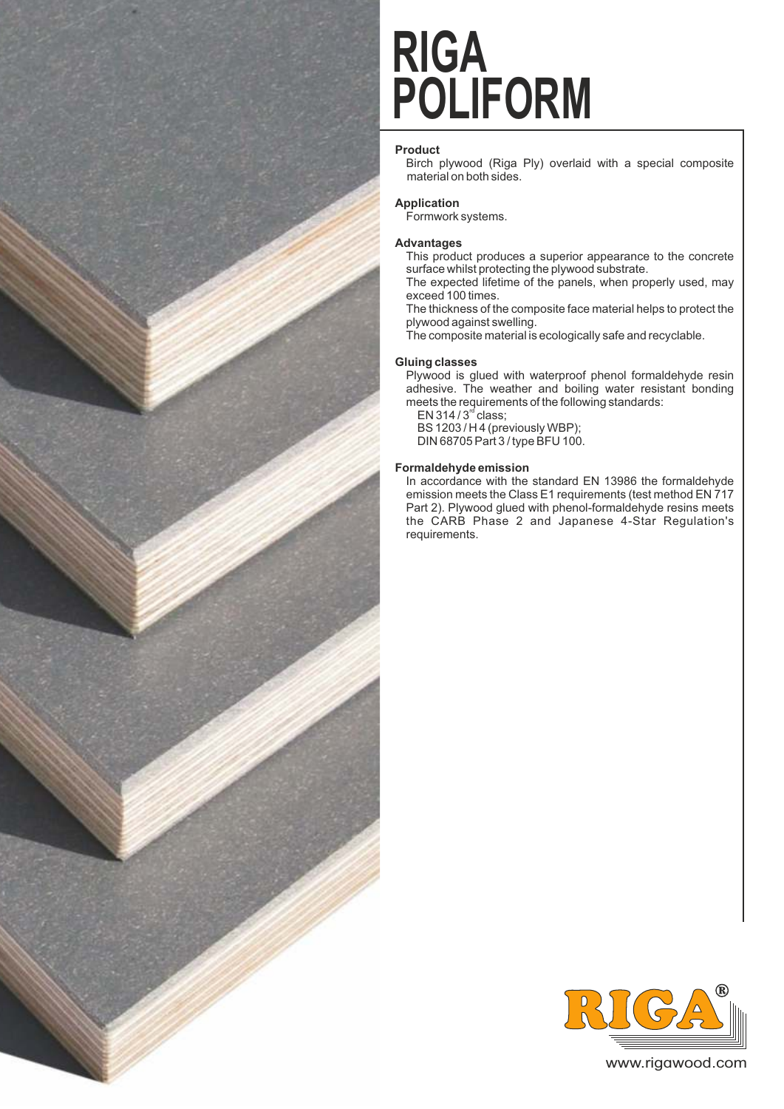

# **POLIFORM RIGA**

## **Product**

Birch plywood (Riga Ply) overlaid with a special composite material on both sides.

## **Application**

Formwork systems.

#### **Advantages**

This product produces a superior appearance to the concrete surface whilst protecting the plywood substrate.

The expected lifetime of the panels, when properly used, may exceed 100 times.

The thickness of the composite face material helps to protect the plywood against swelling.

The composite material is ecologically safe and recyclable.

#### **Gluing classes**

Plywood is glued with waterproof phenol formaldehyde resin adhesive. The weather and boiling water resistant bonding meets the requirements of the following standards:

EN 314 /  $3<sup>rd</sup>$  class; BS 1203 / H 4 (previously WBP);

DIN 68705 Part 3 / type BFU 100.

#### **Formaldehyde emission**

In accordance with the standard EN 13986 the formaldehyde emission meets the Class E1 requirements (test method EN 717 Part 2). Plywood glued with phenol-formaldehyde resins meets the CARB Phase 2 and Japanese 4-Star Regulation's requirements.



www.rigawood.com